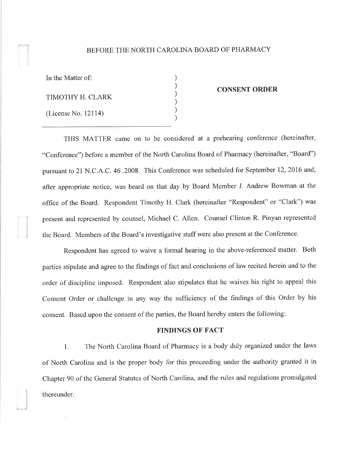## BEFORE THE NORTH CAROLINA BOARD OF PHARMACY

) ) ) ) ) )

In the Matter of:

 $\blacksquare$ 

TIMOTHY H. CLARK

(License No. 12114)

#### CONSENT ORDER

THIS MATTER came on to be considered at a prehearing conference (hereinafter, "Conference") before a member of the North Carolina Board of Pharmacy (hereinafter, "Board") pursuant to 21 N.C.A .C. 46.200S. This Conference was scheduled for September 12,2016 and, after appropriate notice, was heard on that day by Board Member J. Andrew Bowman at the office of the Board. Respondent Timothy H. Clark (hereinafter "Respondent" or "Clark") was present and represented by counsel, Michael C. Allen. Counsel Clinton R. Pinyan represented the Board. Members of the Board's investigative staff were also present at the Conference.

Respondent has agreed to waive a formal hearing in the above-referenced matter. Both parties stipulate and agree to the findings of fact and conclusions of law recited herein and to the order of discipline imposed. Respondent also stipulates that he waives his right to appeal this Consent Order or challenge in any way the sufficiency of the findings of this Order by his consent. Based upon the consent of the parties, the Board hereby enters the following:

### FINDINGS OF FACT

l. The North Carolina Board of Pharmacy is a body duly organized under the laws of North Carolina and is the proper body for this proceeding under the authority granted it in Chapter 90 of the General Statutes of North Carolina, and the rules and regulations promulgated thereunder.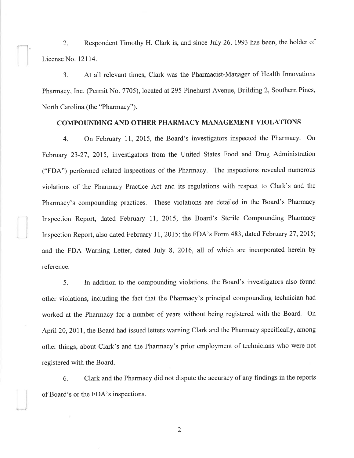2. Respondent Timothy H. Clark is, and since July 26, 1993 has been, the holder of License No. l2l14.

3. At all relevant times, Clark was the Pharmacist-Manager of Health Innovations Pharmacy, Inc. (Permit No. 7705), located at 295 Pinehurst Avenue, Building 2, Southern Pines, North Carolina (the "Pharmacy").

# COMPOUNDING AND OTHER PHARMACY MANAGEMENT VIOLATIONS

4. On February 11, 2015, the Board's investigators inspected the Pharmacy. On February 23-27,2015, investigators from the United States Food and Drug Administration ("FDA") performed related inspections of the Pharmacy. The inspections revealed numerous violations of the Pharmacy Practice Act and its regulations with respect to Clark's and the Pharmacy's compounding practices. These violations are detailed in the Board's Pharmacy Inspection Report, dated February Il, 2015; the Board's Sterile Compounding Pharmacy Inspection Report, also dated February 11, 2015; the FDA's Form 483, dated February 27, 2015; and the FDA Warning Letter, dated July 8, 2016, all of which are incorporated herein by reference.

5. In addition to the compounding violations, the Board's investigators also found other violations, including the fact that the Pharmacy's principal compounding technician had worked at the Pharmacy for a number of years without being registered with the Board. On April 20, 2011, the Board had issued letters warning Clark and the Pharmacy specifically, among other things, about Clark's and the Pharmacy's prior employment of technicians who were not registered with the Board.

6. Clark and the Pharmacy did not dispute the accuracy of any findings in the reports of Board's or the FDA's inspections. <sup>I</sup>

2

I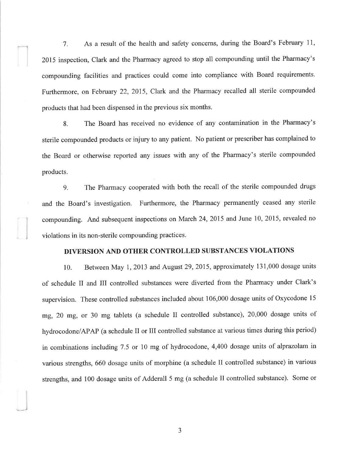7. As a result of the health and safety concerns, during the Board's February 11, 2015 inspection, Clark and the Pharmacy agreed to stop all compounding until the Pharmacy's compounding facilities and practices could come into compliance with Board requirements. Furthermore, on February 22, 2015, Clark and the Pharmacy recalled all sterile compounded products that had been dispensed in the previous six months.

8. The Board has received no evidence of any contamination in the Pharmacy's sterile compounded products or injury to any patient. No patient or prescriber has complained to the Board or otherwise reported any issues with any of the Pharmacy's sterile compounded products.

g. The Pharmacy cooperated with both the recall of the sterile compounded drugs and the Board's investigation. Furthermore, the Pharmacy permanently ceased any sterile compounding. And subsequent inspections on March 24,2015 and June 10,2015, revealed no violations in its non-sterile compounding practices.

#### DIVERSION AND OTHER CONTROLLED SUBSTANCES VIOLATIONS

10. Between May 1, 2013 and August 29,2015, approximately 131,000 dosage units of schedule II and III controlled substances were diverted from the Pharmacy under Clark's supervision. These controlled substances included about 106,000 dosage units of Oxycodone l5 mg, 20 mg, or 30 mg tablets (a schedule II controlled substance), 20,000 dosage units of hydrocodone/APAP (a schedule II or III controlled substance at various times during this period) in combinations including 7.5 or 10 mg of hydrocodone, 4,400 dosage units of alprazolam in various strengths, 660 dosage units of morphine (a schedule II controlled substance) in various strengths, and 100 dosage units of Adderall 5 mg (a schedule II controlled substance). Some or

J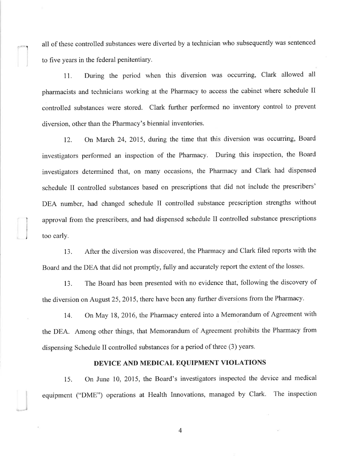all of these controlled substances were diverted by a technician who subsequently was sentenced to five years in the federal penitentiary.

11. During the period when this diversion was occurring, Clark allowed all pharmacists and technicians working at the Pharmacy to access the cabinet where schedule II controlled substances were stored. Clark further performed no inventory control to prevent diversion, other than the Pharmacy's biennial inventories.

12. On March 24, 2015, during the time that this diversion was occurring, Board investigators performed an inspection of the Pharmacy. During this inspection, the Board investigators determined that, on many occasions, the Pharmacy and Clark had dispensed schedule II controlled substances based on prescriptions that did not include the prescribers' DEA number, had changed schedule II controlled substance prescription strengths without approval from the prescribers, and had dispensed schedule II controlled substance prescriptions too early.

13. After the diversion was discovered, the Pharmacy and Clark filed reports with the Board and the DEA that did not promptly, futly and accurately report the extent of the losses.

j

13. The Board has been presented with no evidence that, following the discovery of the diversion on August 25,2015, there have been any further diversions from the Pharmacy.

14. On May 18,2016, the Pharmacy entered into a Memorandum of Agreement with the DEA. Among other things, that Memorandum of Agreement prohibits the Pharmacy from dispensing Schedule II controlled substances for a period of three (3) years.

# DEVICE AND MEDICAL EQUIPMENT VIOLATIONS

15. On June 10, 2015, the Board's investigators inspected the device and medical equipment ("DME") operations at Health Innovations, managed by Clark. The inspection

4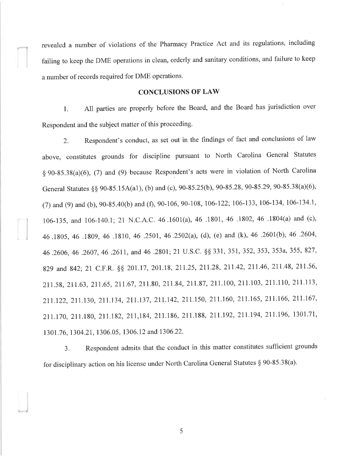revealed a number of violations of the Pharmacy Practice Act and its regulations, including failing to keep the DME operations in clean, orderly and sanitary conditions, and failure to keep <sup>a</sup>number of records required for DME operations.

#### CONCLUSIONS OF LAW

1. All parties are properly before the Board, and the Board has jurisdiction over Respondent and the subject matter of this proceeding.

2. Respondent's conduct, as set out in the findings of fact and conclusions of law above, constitutes grounds for discipline pursuant to North Carolina General Statutes  $§ 90-85.38(a)(6)$ , (7) and (9) because Respondent's acts were in violation of North Carolina General Statutes §§ 90-85.15A(a1), (b) and (c), 90-85.25(b), 90-85.28, 90-85.29, 90-85.38(a)(6), (7) and (9) and (b), 90-85.40(b) and (f), 90-106, 90-108, 106-122; 106-133, 106-134, 106-134.1, 106-135, and 106-140.1; 21 N.C.A.C. 46 .1601(a), 46 .1801, 46 .1802, 46 .1804(a) and (c), 46.1805, 46 .1809,46 .1810, 46 .2501,46.2502(a), (d), (e) and (k), 46 .2601(b),46 .2604, 46.2606,46 .2607,46 .2611, and 46 .2801; 21 U.S.C. \$\$ 331, 351, 352,353,353a,355,827, 829 and 842; 21 C.F.R. §§ 201.17, 201.18, 211.25, 211.28, 211.42, 211.46, 211.48, 211.56, 211.58,211.63,211.65,211.67,211.80,211.84,211.87,211.100,2lI.l03,2ll.ll0,2ll.Il3, 211.122,21L130,211.134,211.137,211.142,211)50,211.160,211.165,211.166,211.167, 211.170, 211.180, 217.182, 217,184, 211.186, 21 1.188, 211.192, 211.194, 211.196, 1301.71, l30l.76, 1304.21, 1306.05, 1306.12 and 1306.22.

3. Respondent admits that the conduct in this matter constitutes sufficient grounds for disciplinary action on his license under North Carolina General Statutes \$ 90-85.38(a).

5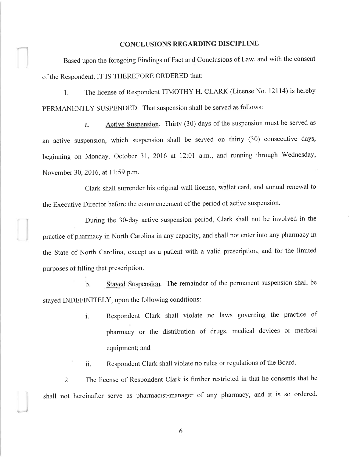## CONCLUSIONS REGARDING DISCIPLINE

Based upon the foregoing Findings of Fact and Conclusions of Law, and with the consent of the Respondent, IT IS THEREFORE ORDERED that:

1. The license of Respondent TIMOTHY H. CLARK (License No. 12114) is hereby PERMANENTLY SUSPENDED. That suspension shall be served as follows:

a. Active Suspension. Thirty (30) days of the suspension must be served as an active suspension, which suspension shall be served on thirty (30) consecutive days, beginning on Monday, October 31, 2016 at 12:01 a.m., and running through Wednesday, November 30,2016, at 11:59 P.m.

Clark shall surrender his original wall license, wallet card, and annual renewal to the Executive Director before the commencement of the period of active suspension.

During the 30-day active suspension period, Clark shall not be involved in the practice of pharmacy in North Carolina in any capacity, and shall not enter into any pharmacy in the State of North Carolina, except as a patient with a valid prescription, and for the limited purposes of filling that prescription.

b. Stayed Suspension. The remainder of the permanent suspension shall be stayed INDEFINITELY, upon the following conditions:

> i. Respondent Clark shall violate no laws governing the practice of pharmacy or the distribution of drugs, medical devices or medical equipment; and

ii. Respondent Clark shall violate no rules or regulations of the Board.

2. The license of Respondent Clark is further restricted in that he consents that he shall not hereinafter serve as pharmacist-manager of any pharmacy, and it is so ordered.

6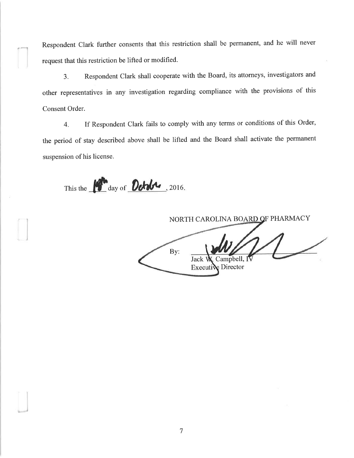Respondent Clark further consents that this restriction shall be permanent, and he will never request that this restriction be lifted or modified.

3. Respondent Clark shall cooperate with the Board, its attorneys, investigators and other representatives in any investigation regarding compliance with the provisions of this Consent Order.

4. If Respondent Clark fails to comply with any terms or conditions of this Order, the period of stay described above shall be lifted and the Board shall activate the permanent suspension of his license.

This the **Let day of Detales**, 2016.

NORTH CAROLINA BOARD OF PHARMACY By: Campbell, IV **Jack** Executiv Director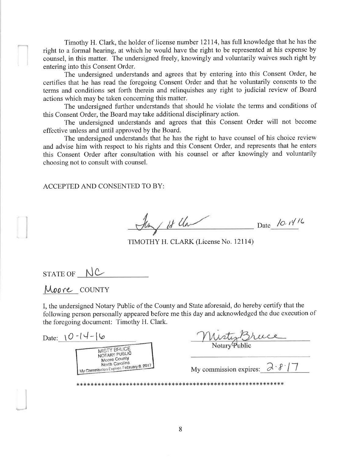Timothy H. Clark, the holder of license number 12114, has full knowledge that he has the right to a formal hearing, at which he would have the right to be represented at his expense by counsel, in this matter. The undersigned freely, knowingly and voluntarily waives such right by entering into this Consent Order.

The undersigned understands and agrees that by entering into this Consent Order, he certifies that he has read the foregoing Consent Order and that he voluntarily consents to the terms and conditions set forth therein and relinquishes any right to judicial review of Board actions which may be taken concerning this matter.

The undersigned further understands that should he violate the terms and conditions of this Consent Order, the Board may take additional disciplinary action.

The undersigned understands and agrees that this Consent Order will not become effective unless and until approved by the Board.

The undersigned understands that he has the right to have counsel of his choice review and advise him with respect to his rights and this Consent Order, and represents that he enters this Consent Order after consultation with his counsel or after knowingly and voluntarily choosing not to consult with counsel.

ACCEPTED AND CONSENTED TO BY:

 $\ln$  / if lla Date 10.1416

TIMOTHY H. CLARK (License No. 12114)

 $STATE OF$   $N$   $C$ 

Moore county

I, the undersigned Notary Public of the County and State aforesaid, do hereby certify that the following person personally appeared before me this day and acknowledged the due execution of the foregoing document: Timothy H. Clark.

Misty Bruce Date:  $10-14-16$ MISTY BRUCE NOTARY PUBLIC Moore County North Carolina North Carolina<br>My Commission Expires February 8, 2017 My commission expires:  $\partial \hat{\mathcal{F}}$  | 7 \*rF\*\*\*\*<\*t{<\*.rËrl.rl.rFrF:\*{<>t<{<\*{.,1.t|.\*\*(rk\*\*tß\*d(t(tFrl.X<tßd<tßtFtt>kt<{<\*rt tl.\*\*\*\*rt rl.\*.t<\*\*\*tl.r¡\*